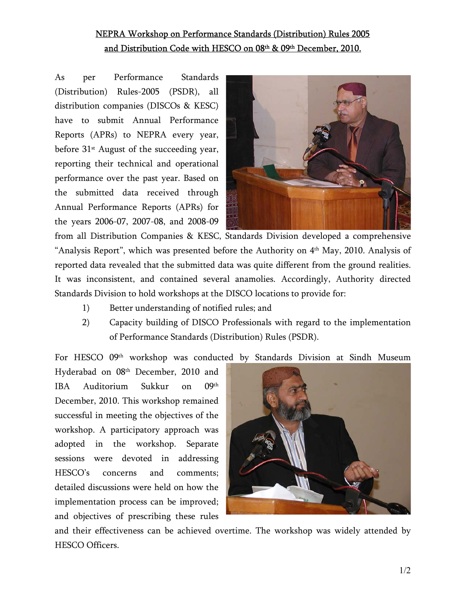## NEPRA Workshop on Performance Standards (Distribution) Rules 2005 and Distribution Code with HESCO on 08th & 09th December, 2010.

As per Performance Standards (Distribution) Rules-2005 (PSDR), all distribution companies (DISCOs & KESC) have to submit Annual Performance Reports (APRs) to NEPRA every year, before  $31<sup>st</sup>$  August of the succeeding year, reporting their technical and operational performance over the past year. Based on the submitted data received through Annual Performance Reports (APRs) for the years 2006-07, 2007-08, and 2008-09



from all Distribution Companies & KESC, Standards Division developed a comprehensive "Analysis Report", which was presented before the Authority on  $4<sup>th</sup>$  May, 2010. Analysis of reported data revealed that the submitted data was quite different from the ground realities. It was inconsistent, and contained several anamolies. Accordingly, Authority directed Standards Division to hold workshops at the DISCO locations to provide for:

- 1) Better understanding of notified rules; and
- 2) Capacity building of DISCO Professionals with regard to the implementation of Performance Standards (Distribution) Rules (PSDR).

For HESCO 09th workshop was conducted by Standards Division at Sindh Museum

Hyderabad on 08th December, 2010 and IBA Auditorium Sukkur on 09th December, 2010. This workshop remained successful in meeting the objectives of the workshop. A participatory approach was adopted in the workshop. Separate sessions were devoted in addressing HESCO's concerns and comments; detailed discussions were held on how the implementation process can be improved; and objectives of prescribing these rules



and their effectiveness can be achieved overtime. The workshop was widely attended by HESCO Officers.